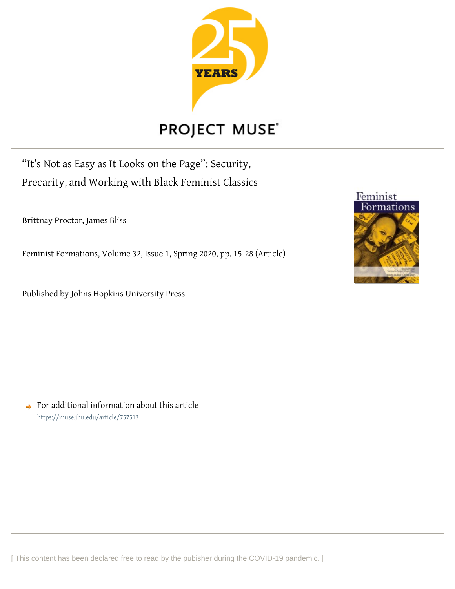

# **PROJECT MUSE®**

"It's Not as Easy as It Looks on the Page": Security, Precarity, and Working with Black Feminist Classics

Brittnay Proctor, James Bliss

Feminist Formations, Volume 32, Issue 1, Spring 2020, pp. 15-28 (Article)

Published by Johns Hopkins University Press



 $\rightarrow$  For additional information about this article <https://muse.jhu.edu/article/757513>

[ This content has been declared free to read by the pubisher during the COVID-19 pandemic. ]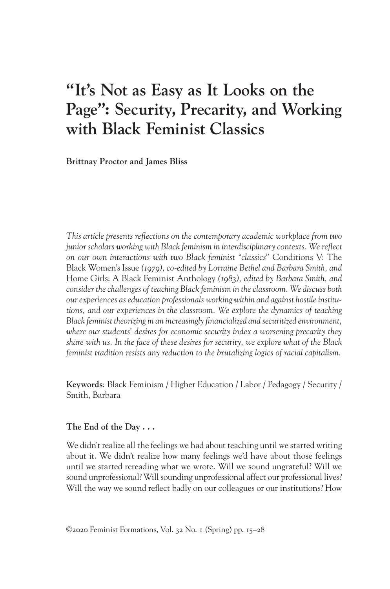# **"It's Not as Easy as It Looks on the Page": Security, Precarity, and Working with Black Feminist Classics**

**Brittnay Proctor and James Bliss**

*This article presents reflections on the contemporary academic workplace from two junior scholars working with Black feminism in interdisciplinary contexts. We reflect on our own interactions with two Black feminist "classics"* Conditions V: The Black Women's Issue *(1979), co-edited by Lorraine Bethel and Barbara Smith, and* Home Girls: A Black Feminist Anthology *(1983), edited by Barbara Smith, and consider the challenges of teaching Black feminism in the classroom. We discuss both our experiences as education professionals working within and against hostile institutions, and our experiences in the classroom. We explore the dynamics of teaching Black feminist theorizing in an increasingly financialized and securitized environment, where our students' desires for economic security index a worsening precarity they share with us. In the face of these desires for security, we explore what of the Black feminist tradition resists any reduction to the brutalizing logics of racial capitalism.*

**Keywords**: Black Feminism / Higher Education / Labor / Pedagogy / Security / Smith, Barbara

# **The End of the Day . . .**

We didn't realize all the feelings we had about teaching until we started writing about it. We didn't realize how many feelings we'd have about those feelings until we started rereading what we wrote. Will we sound ungrateful? Will we sound unprofessional? Will sounding unprofessional affect our professional lives? Will the way we sound reflect badly on our colleagues or our institutions? How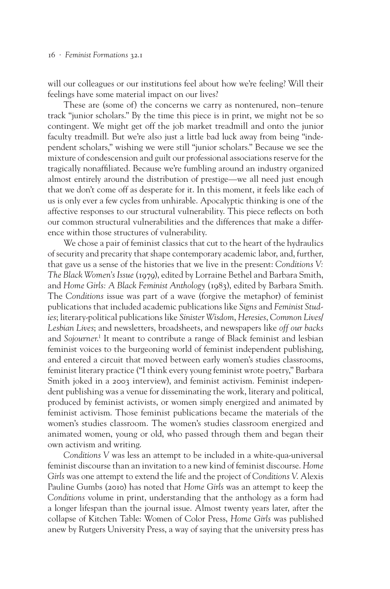will our colleagues or our institutions feel about how we're feeling? Will their feelings have some material impact on our lives?

These are (some of) the concerns we carry as nontenured, non–tenure track "junior scholars." By the time this piece is in print, we might not be so contingent. We might get off the job market treadmill and onto the junior faculty treadmill. But we're also just a little bad luck away from being "independent scholars," wishing we were still "junior scholars." Because we see the mixture of condescension and guilt our professional associations reserve for the tragically nonaffiliated. Because we're fumbling around an industry organized almost entirely around the distribution of prestige—we all need just enough that we don't come off as desperate for it. In this moment, it feels like each of us is only ever a few cycles from unhirable. Apocalyptic thinking is one of the affective responses to our structural vulnerability. This piece reflects on both our common structural vulnerabilities and the differences that make a difference within those structures of vulnerability.

We chose a pair of feminist classics that cut to the heart of the hydraulics of security and precarity that shape contemporary academic labor, and, further, that gave us a sense of the histories that we live in the present: *Conditions V: The Black Women's Issue* (1979), edited by Lorraine Bethel and Barbara Smith, and *Home Girls: A Black Feminist Anthology* (1983), edited by Barbara Smith. The *Conditions* issue was part of a wave (forgive the metaphor) of feminist publications that included academic publications like *Signs* and *Feminist Studies*; literary-political publications like *Sinister Wisdom*, *Heresies*, *Common Lives/ Lesbian Lives*; and newsletters, broadsheets, and newspapers like *off our backs* and *Sojourner*. 1 It meant to contribute a range of Black feminist and lesbian feminist voices to the burgeoning world of feminist independent publishing, and entered a circuit that moved between early women's studies classrooms, feminist literary practice ("I think every young feminist wrote poetry," Barbara Smith joked in a 2003 interview), and feminist activism. Feminist independent publishing was a venue for disseminating the work, literary and political, produced by feminist activists, or women simply energized and animated by feminist activism. Those feminist publications became the materials of the women's studies classroom. The women's studies classroom energized and animated women, young or old, who passed through them and began their own activism and writing.

*Conditions V* was less an attempt to be included in a white-qua-universal feminist discourse than an invitation to a new kind of feminist discourse. *Home Girls* was one attempt to extend the life and the project of *Conditions V*. Alexis Pauline Gumbs (2010) has noted that *Home Girls* was an attempt to keep the *Conditions* volume in print, understanding that the anthology as a form had a longer lifespan than the journal issue. Almost twenty years later, after the collapse of Kitchen Table: Women of Color Press, *Home Girls* was published anew by Rutgers University Press, a way of saying that the university press has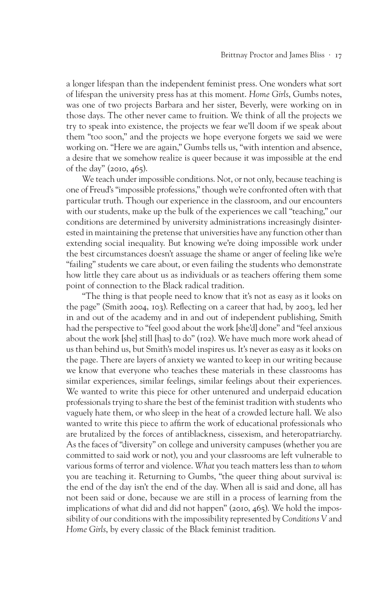a longer lifespan than the independent feminist press. One wonders what sort of lifespan the university press has at this moment. *Home Girls*, Gumbs notes, was one of two projects Barbara and her sister, Beverly, were working on in those days. The other never came to fruition. We think of all the projects we try to speak into existence, the projects we fear we'll doom if we speak about them "too soon," and the projects we hope everyone forgets we said we were working on. "Here we are again," Gumbs tells us, "with intention and absence, a desire that we somehow realize is queer because it was impossible at the end of the day" (2010, 465).

We teach under impossible conditions. Not, or not only, because teaching is one of Freud's "impossible professions," though we're confronted often with that particular truth. Though our experience in the classroom, and our encounters with our students, make up the bulk of the experiences we call "teaching," our conditions are determined by university administrations increasingly disinterested in maintaining the pretense that universities have any function other than extending social inequality. But knowing we're doing impossible work under the best circumstances doesn't assuage the shame or anger of feeling like we're "failing" students we care about, or even failing the students who demonstrate how little they care about us as individuals or as teachers offering them some point of connection to the Black radical tradition.

"The thing is that people need to know that it's not as easy as it looks on the page" (Smith 2004, 103). Reflecting on a career that had, by 2003, led her in and out of the academy and in and out of independent publishing, Smith had the perspective to "feel good about the work [she'd] done" and "feel anxious about the work [she] still [has] to do" (102). We have much more work ahead of us than behind us, but Smith's model inspires us. It's never as easy as it looks on the page. There are layers of anxiety we wanted to keep in our writing because we know that everyone who teaches these materials in these classrooms has similar experiences, similar feelings, similar feelings about their experiences. We wanted to write this piece for other untenured and underpaid education professionals trying to share the best of the feminist tradition with students who vaguely hate them, or who sleep in the heat of a crowded lecture hall. We also wanted to write this piece to affirm the work of educational professionals who are brutalized by the forces of antiblackness, cissexism, and heteropatriarchy. As the faces of "diversity" on college and university campuses (whether you are committed to said work or not), you and your classrooms are left vulnerable to various forms of terror and violence. *What* you teach matters less than *to whom* you are teaching it. Returning to Gumbs, "the queer thing about survival is: the end of the day isn't the end of the day. When all is said and done, all has not been said or done, because we are still in a process of learning from the implications of what did and did not happen" (2010, 465). We hold the impossibility of our conditions with the impossibility represented by *Conditions V* and *Home Girls*, by every classic of the Black feminist tradition.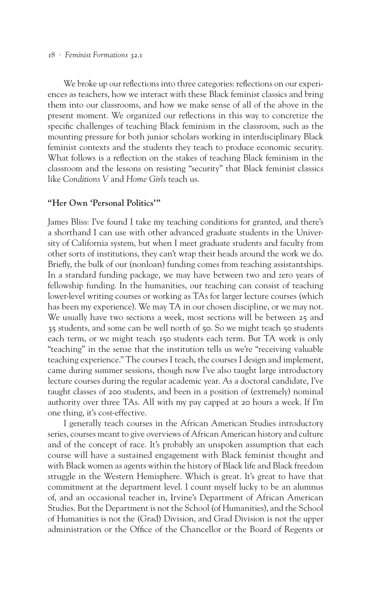We broke up our reflections into three categories: reflections on our experiences as teachers, how we interact with these Black feminist classics and bring them into our classrooms, and how we make sense of all of the above in the present moment. We organized our reflections in this way to concretize the specific challenges of teaching Black feminism in the classroom, such as the mounting pressure for both junior scholars working in interdisciplinary Black feminist contexts and the students they teach to produce economic security. What follows is a reflection on the stakes of teaching Black feminism in the classroom and the lessons on resisting "security" that Black feminist classics like *Conditions V* and *Home Girls* teach us.

#### **"Her Own 'Personal Politics'"**

James Bliss: I've found I take my teaching conditions for granted, and there's a shorthand I can use with other advanced graduate students in the University of California system, but when I meet graduate students and faculty from other sorts of institutions, they can't wrap their heads around the work we do. Briefly, the bulk of our (nonloan) funding comes from teaching assistantships. In a standard funding package, we may have between two and zero years of fellowship funding. In the humanities, our teaching can consist of teaching lower-level writing courses or working as TAs for larger lecture courses (which has been my experience). We may TA in our chosen discipline, or we may not. We usually have two sections a week, most sections will be between 25 and 35 students, and some can be well north of 50. So we might teach 50 students each term, or we might teach 150 students each term. But TA work is only "teaching" in the sense that the institution tells us we're "receiving valuable teaching experience." The courses I teach, the courses I design and implement, came during summer sessions, though now I've also taught large introductory lecture courses during the regular academic year. As a doctoral candidate, I've taught classes of 200 students, and been in a position of (extremely) nominal authority over three TAs. All with my pay capped at 20 hours a week. If I'm one thing, it's cost-effective.

I generally teach courses in the African American Studies introductory series, courses meant to give overviews of African American history and culture and of the concept of race. It's probably an unspoken assumption that each course will have a sustained engagement with Black feminist thought and with Black women as agents within the history of Black life and Black freedom struggle in the Western Hemisphere. Which is great. It's great to have that commitment at the department level. I count myself lucky to be an alumnus of, and an occasional teacher in, Irvine's Department of African American Studies. But the Department is not the School (of Humanities), and the School of Humanities is not the (Grad) Division, and Grad Division is not the upper administration or the Office of the Chancellor or the Board of Regents or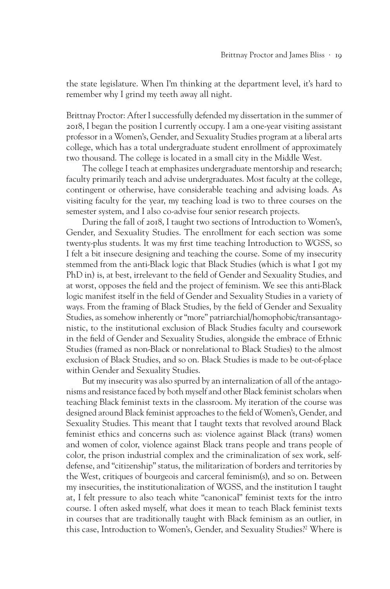the state legislature. When I'm thinking at the department level, it's hard to remember why I grind my teeth away all night.

Brittnay Proctor: After I successfully defended my dissertation in the summer of 2018, I began the position I currently occupy. I am a one-year visiting assistant professor in a Women's, Gender, and Sexuality Studies program at a liberal arts college, which has a total undergraduate student enrollment of approximately two thousand. The college is located in a small city in the Middle West.

The college I teach at emphasizes undergraduate mentorship and research; faculty primarily teach and advise undergraduates. Most faculty at the college, contingent or otherwise, have considerable teaching and advising loads. As visiting faculty for the year, my teaching load is two to three courses on the semester system, and I also co-advise four senior research projects.

During the fall of 2018, I taught two sections of Introduction to Women's, Gender, and Sexuality Studies. The enrollment for each section was some twenty-plus students. It was my first time teaching Introduction to WGSS, so I felt a bit insecure designing and teaching the course. Some of my insecurity stemmed from the anti-Black logic that Black Studies (which is what I got my PhD in) is, at best, irrelevant to the field of Gender and Sexuality Studies, and at worst, opposes the field and the project of feminism. We see this anti-Black logic manifest itself in the field of Gender and Sexuality Studies in a variety of ways. From the framing of Black Studies, by the field of Gender and Sexuality Studies, as somehow inherently or "more" patriarchial/homophobic/transantagonistic, to the institutional exclusion of Black Studies faculty and coursework in the field of Gender and Sexuality Studies, alongside the embrace of Ethnic Studies (framed as non-Black or nonrelational to Black Studies) to the almost exclusion of Black Studies, and so on. Black Studies is made to be out-of-place within Gender and Sexuality Studies.

But my insecurity was also spurred by an internalization of all of the antagonisms and resistance faced by both myself and other Black feminist scholars when teaching Black feminist texts in the classroom. My iteration of the course was designed around Black feminist approaches to the field of Women's, Gender, and Sexuality Studies. This meant that I taught texts that revolved around Black feminist ethics and concerns such as: violence against Black (trans) women and women of color, violence against Black trans people and trans people of color, the prison industrial complex and the criminalization of sex work, selfdefense, and "citizenship" status, the militarization of borders and territories by the West, critiques of bourgeois and carceral feminism(s), and so on. Between my insecurities, the institutionalization of WGSS, and the institution I taught at, I felt pressure to also teach white "canonical" feminist texts for the intro course. I often asked myself, what does it mean to teach Black feminist texts in courses that are traditionally taught with Black feminism as an outlier, in this case, Introduction to Women's, Gender, and Sexuality Studies?<sup>2</sup> Where is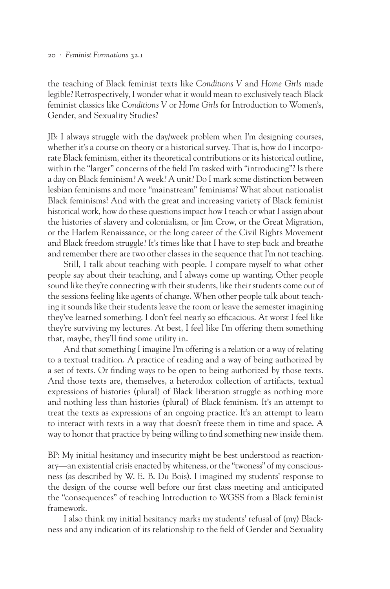the teaching of Black feminist texts like *Conditions V* and *Home Girls* made legible? Retrospectively, I wonder what it would mean to exclusively teach Black feminist classics like *Conditions V* or *Home Girls* for Introduction to Women's, Gender, and Sexuality Studies?

JB: I always struggle with the day/week problem when I'm designing courses, whether it's a course on theory or a historical survey. That is, how do I incorporate Black feminism, either its theoretical contributions or its historical outline, within the "larger" concerns of the field I'm tasked with "introducing"? Is there a day on Black feminism? A week? A unit? Do I mark some distinction between lesbian feminisms and more "mainstream" feminisms? What about nationalist Black feminisms? And with the great and increasing variety of Black feminist historical work, how do these questions impact how I teach or what I assign about the histories of slavery and colonialism, or Jim Crow, or the Great Migration, or the Harlem Renaissance, or the long career of the Civil Rights Movement and Black freedom struggle? It's times like that I have to step back and breathe and remember there are two other classes in the sequence that I'm not teaching.

Still, I talk about teaching with people. I compare myself to what other people say about their teaching, and I always come up wanting. Other people sound like they're connecting with their students, like their students come out of the sessions feeling like agents of change. When other people talk about teaching it sounds like their students leave the room or leave the semester imagining they've learned something. I don't feel nearly so efficacious. At worst I feel like they're surviving my lectures. At best, I feel like I'm offering them something that, maybe, they'll find some utility in.

And that something I imagine I'm offering is a relation or a way of relating to a textual tradition. A practice of reading and a way of being authorized by a set of texts. Or finding ways to be open to being authorized by those texts. And those texts are, themselves, a heterodox collection of artifacts, textual expressions of histories (plural) of Black liberation struggle as nothing more and nothing less than histories (plural) of Black feminism. It's an attempt to treat the texts as expressions of an ongoing practice. It's an attempt to learn to interact with texts in a way that doesn't freeze them in time and space. A way to honor that practice by being willing to find something new inside them.

BP: My initial hesitancy and insecurity might be best understood as reactionary—an existential crisis enacted by whiteness, or the "twoness" of my consciousness (as described by W. E. B. Du Bois). I imagined my students' response to the design of the course well before our first class meeting and anticipated the "consequences" of teaching Introduction to WGSS from a Black feminist framework.

I also think my initial hesitancy marks my students' refusal of (my) Blackness and any indication of its relationship to the field of Gender and Sexuality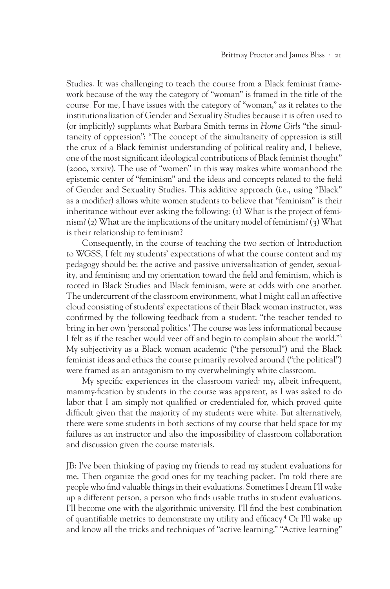Studies. It was challenging to teach the course from a Black feminist framework because of the way the category of "woman" is framed in the title of the course. For me, I have issues with the category of "woman," as it relates to the institutionalization of Gender and Sexuality Studies because it is often used to (or implicitly) supplants what Barbara Smith terms in *Home Girls* "the simultaneity of oppression": "The concept of the simultaneity of oppression is still the crux of a Black feminist understanding of political reality and, I believe, one of the most significant ideological contributions of Black feminist thought" (2000, xxxiv). The use of "women" in this way makes white womanhood the epistemic center of "feminism" and the ideas and concepts related to the field of Gender and Sexuality Studies. This additive approach (i.e., using "Black" as a modifier) allows white women students to believe that "feminism" is their inheritance without ever asking the following: (1) What is the project of feminism? (2) What are the implications of the unitary model of feminism? (3) What is their relationship to feminism?

Consequently, in the course of teaching the two section of Introduction to WGSS, I felt my students' expectations of what the course content and my pedagogy should be: the active and passive universalization of gender, sexuality, and feminism; and my orientation toward the field and feminism, which is rooted in Black Studies and Black feminism, were at odds with one another. The undercurrent of the classroom environment, what I might call an affective cloud consisting of students' expectations of their Black woman instructor, was confirmed by the following feedback from a student: "the teacher tended to bring in her own 'personal politics.' The course was less informational because I felt as if the teacher would veer off and begin to complain about the world."3 My subjectivity as a Black woman academic ("the personal") and the Black feminist ideas and ethics the course primarily revolved around ("the political") were framed as an antagonism to my overwhelmingly white classroom.

My specific experiences in the classroom varied: my, albeit infrequent, mammy-fication by students in the course was apparent, as I was asked to do labor that I am simply not qualified or credentialed for, which proved quite difficult given that the majority of my students were white. But alternatively, there were some students in both sections of my course that held space for my failures as an instructor and also the impossibility of classroom collaboration and discussion given the course materials.

JB: I've been thinking of paying my friends to read my student evaluations for me. Then organize the good ones for my teaching packet. I'm told there are people who find valuable things in their evaluations. Sometimes I dream I'll wake up a different person, a person who finds usable truths in student evaluations. I'll become one with the algorithmic university. I'll find the best combination of quantifiable metrics to demonstrate my utility and efficacy.4 Or I'll wake up and know all the tricks and techniques of "active learning." "Active learning"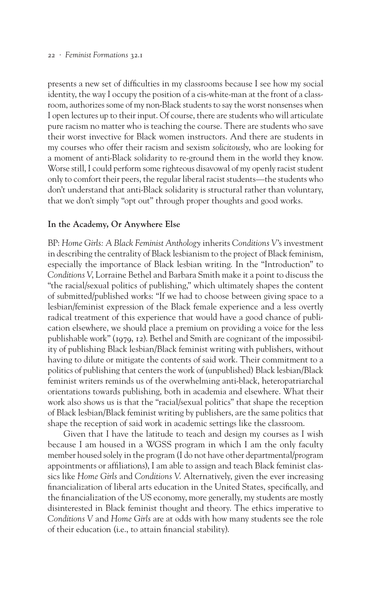presents a new set of difficulties in my classrooms because I see how my social identity, the way I occupy the position of a cis-white-man at the front of a classroom, authorizes some of my non-Black students to say the worst nonsenses when I open lectures up to their input. Of course, there are students who will articulate pure racism no matter who is teaching the course. There are students who save their worst invective for Black women instructors. And there are students in my courses who offer their racism and sexism *solicitously*, who are looking for a moment of anti-Black solidarity to re-ground them in the world they know. Worse still, I could perform some righteous disavowal of my openly racist student only to comfort their peers, the regular liberal racist students—the students who don't understand that anti-Black solidarity is structural rather than voluntary, that we don't simply "opt out" through proper thoughts and good works.

# **In the Academy, Or Anywhere Else**

BP: *Home Girls: A Black Feminist Anthology* inherits *Conditions V*'s investment in describing the centrality of Black lesbianism to the project of Black feminism, especially the importance of Black lesbian writing. In the "Introduction" to *Conditions V*, Lorraine Bethel and Barbara Smith make it a point to discuss the "the racial/sexual politics of publishing," which ultimately shapes the content of submitted/published works: "If we had to choose between giving space to a lesbian/feminist expression of the Black female experience and a less overtly radical treatment of this experience that would have a good chance of publication elsewhere, we should place a premium on providing a voice for the less publishable work" (1979, 12). Bethel and Smith are cognizant of the impossibility of publishing Black lesbian/Black feminist writing with publishers, without having to dilute or mitigate the contents of said work. Their commitment to a politics of publishing that centers the work of (unpublished) Black lesbian/Black feminist writers reminds us of the overwhelming anti-black, heteropatriarchal orientations towards publishing, both in academia and elsewhere. What their work also shows us is that the "racial/sexual politics" that shape the reception of Black lesbian/Black feminist writing by publishers, are the same politics that shape the reception of said work in academic settings like the classroom.

Given that I have the latitude to teach and design my courses as I wish because I am housed in a WGSS program in which I am the only faculty member housed solely in the program (I do not have other departmental/program appointments or affiliations), I am able to assign and teach Black feminist classics like *Home Girls* and *Conditions V*. Alternatively, given the ever increasing financialization of liberal arts education in the United States, specifically, and the financialization of the US economy, more generally, my students are mostly disinterested in Black feminist thought and theory. The ethics imperative to *Conditions V* and *Home Girls* are at odds with how many students see the role of their education (i.e., to attain financial stability).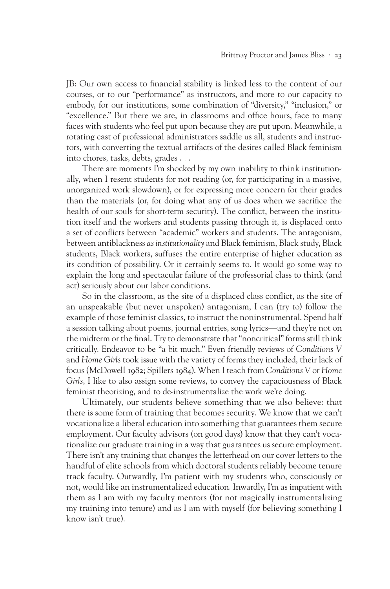JB: Our own access to financial stability is linked less to the content of our courses, or to our "performance" as instructors, and more to our capacity to embody, for our institutions, some combination of "diversity," "inclusion," or "excellence." But there we are, in classrooms and office hours, face to many faces with students who feel put upon because they *are* put upon. Meanwhile, a rotating cast of professional administrators saddle us all, students and instructors, with converting the textual artifacts of the desires called Black feminism into chores, tasks, debts, grades . . .

There are moments I'm shocked by my own inability to think institutionally, when I resent students for not reading (or, for participating in a massive, unorganized work slowdown), or for expressing more concern for their grades than the materials (or, for doing what any of us does when we sacrifice the health of our souls for short-term security). The conflict, between the institution itself and the workers and students passing through it, is displaced onto a set of conflicts between "academic" workers and students. The antagonism, between antiblackness *as institutionality* and Black feminism, Black study, Black students, Black workers, suffuses the entire enterprise of higher education as its condition of possibility. Or it certainly seems to. It would go some way to explain the long and spectacular failure of the professorial class to think (and act) seriously about our labor conditions.

So in the classroom, as the site of a displaced class conflict, as the site of an unspeakable (but never unspoken) antagonism, I can (try to) follow the example of those feminist classics, to instruct the noninstrumental. Spend half a session talking about poems, journal entries, song lyrics—and they're not on the midterm or the final. Try to demonstrate that "noncritical" forms still think critically. Endeavor to be "a bit much." Even friendly reviews of *Conditions V*  and *Home Girls* took issue with the variety of forms they included, their lack of focus (McDowell 1982; Spillers 1984). When I teach from *Conditions V* or *Home Girls*, I like to also assign some reviews, to convey the capaciousness of Black feminist theorizing, and to de-instrumentalize the work we're doing.

Ultimately, our students believe something that we also believe: that there is some form of training that becomes security. We know that we can't vocationalize a liberal education into something that guarantees them secure employment. Our faculty advisors (on good days) know that they can't vocationalize our graduate training in a way that guarantees us secure employment. There isn't any training that changes the letterhead on our cover letters to the handful of elite schools from which doctoral students reliably become tenure track faculty. Outwardly, I'm patient with my students who, consciously or not, would like an instrumentalized education. Inwardly, I'm as impatient with them as I am with my faculty mentors (for not magically instrumentalizing my training into tenure) and as I am with myself (for believing something I know isn't true).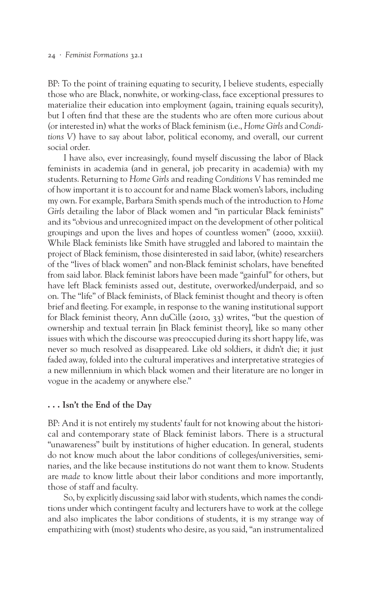BP: To the point of training equating to security, I believe students, especially those who are Black, nonwhite, or working-class, face exceptional pressures to materialize their education into employment (again, training equals security), but I often find that these are the students who are often more curious about (or interested in) what the works of Black feminism (i.e., *Home Girls* and *Conditions V*) have to say about labor, political economy, and overall, our current social order.

I have also, ever increasingly, found myself discussing the labor of Black feminists in academia (and in general, job precarity in academia) with my students. Returning to *Home Girls* and reading *Conditions V* has reminded me of how important it is to account for and name Black women's labors, including my own. For example, Barbara Smith spends much of the introduction to *Home Girls* detailing the labor of Black women and "in particular Black feminists" and its "obvious and unrecognized impact on the development of other political groupings and upon the lives and hopes of countless women" (2000, xxxiii). While Black feminists like Smith have struggled and labored to maintain the project of Black feminism, those disinterested in said labor, (white) researchers of the "lives of black women" and non-Black feminist scholars, have benefited from said labor. Black feminist labors have been made "gainful" for others, but have left Black feminists assed out, destitute, overworked/underpaid, and so on. The "life" of Black feminists, of Black feminist thought and theory is often brief and fleeting. For example, in response to the waning institutional support for Black feminist theory, Ann duCille (2010, 33) writes, "but the question of ownership and textual terrain [in Black feminist theory], like so many other issues with which the discourse was preoccupied during its short happy life, was never so much resolved as disappeared. Like old soldiers, it didn't die; it just faded away, folded into the cultural imperatives and interpretative strategies of a new millennium in which black women and their literature are no longer in vogue in the academy or anywhere else."

### **. . . Isn't the End of the Day**

BP: And it is not entirely my students' fault for not knowing about the historical and contemporary state of Black feminist labors. There is a structural "unawareness" built by institutions of higher education. In general, students do not know much about the labor conditions of colleges/universities, seminaries, and the like because institutions do not want them to know. Students are *made* to know little about their labor conditions and more importantly, those of staff and faculty.

So, by explicitly discussing said labor with students, which names the conditions under which contingent faculty and lecturers have to work at the college and also implicates the labor conditions of students, it is my strange way of empathizing with (most) students who desire, as you said, "an instrumentalized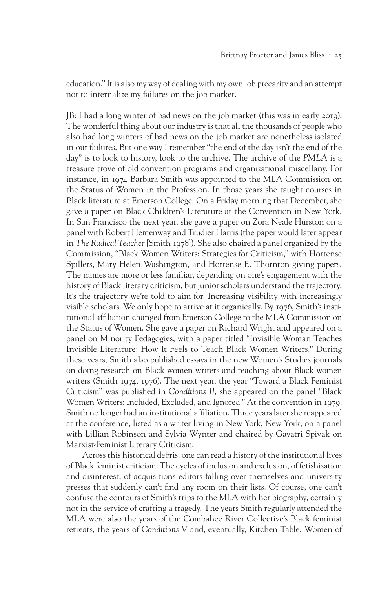education." It is also my way of dealing with my own job precarity and an attempt not to internalize my failures on the job market.

JB: I had a long winter of bad news on the job market (this was in early 2019). The wonderful thing about our industry is that all the thousands of people who also had long winters of bad news on the job market are nonetheless isolated in our failures. But one way I remember "the end of the day isn't the end of the day" is to look to history, look to the archive. The archive of the *PMLA* is a treasure trove of old convention programs and organizational miscellany. For instance, in 1974 Barbara Smith was appointed to the MLA Commission on the Status of Women in the Profession. In those years she taught courses in Black literature at Emerson College. On a Friday morning that December, she gave a paper on Black Children's Literature at the Convention in New York. In San Francisco the next year, she gave a paper on Zora Neale Hurston on a panel with Robert Hemenway and Trudier Harris (the paper would later appear in *The Radical Teacher* [Smith 1978]). She also chaired a panel organized by the Commission, "Black Women Writers: Strategies for Criticism," with Hortense Spillers, Mary Helen Washington, and Hortense E. Thornton giving papers. The names are more or less familiar, depending on one's engagement with the history of Black literary criticism, but junior scholars understand the trajectory. It's the trajectory we're told to aim for. Increasing visibility with increasingly visible scholars. We only hope to arrive at it organically. By 1976, Smith's institutional affiliation changed from Emerson College to the MLA Commission on the Status of Women. She gave a paper on Richard Wright and appeared on a panel on Minority Pedagogies, with a paper titled "Invisible Woman Teaches Invisible Literature: How It Feels to Teach Black Women Writers." During these years, Smith also published essays in the new Women's Studies journals on doing research on Black women writers and teaching about Black women writers (Smith 1974, 1976). The next year, the year "Toward a Black Feminist Criticism" was published in *Conditions II*, she appeared on the panel "Black Women Writers: Included, Excluded, and Ignored." At the convention in 1979, Smith no longer had an institutional affiliation. Three years later she reappeared at the conference, listed as a writer living in New York, New York, on a panel with Lillian Robinson and Sylvia Wynter and chaired by Gayatri Spivak on Marxist-Feminist Literary Criticism.

Across this historical debris, one can read a history of the institutional lives of Black feminist criticism. The cycles of inclusion and exclusion, of fetishization and disinterest, of acquisitions editors falling over themselves and university presses that suddenly can't find any room on their lists. Of course, one can't confuse the contours of Smith's trips to the MLA with her biography, certainly not in the service of crafting a tragedy. The years Smith regularly attended the MLA were also the years of the Combahee River Collective's Black feminist retreats, the years of *Conditions V* and, eventually, Kitchen Table: Women of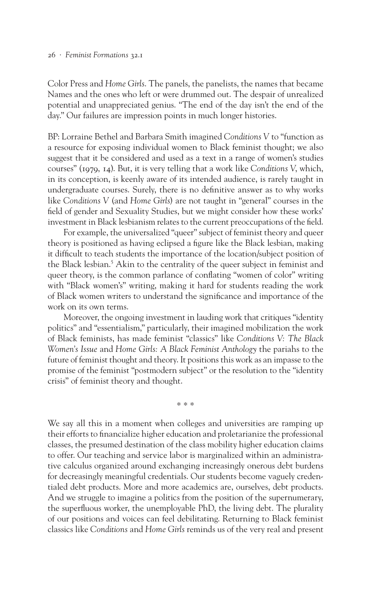Color Press and *Home Girls*. The panels, the panelists, the names that became Names and the ones who left or were drummed out. The despair of unrealized potential and unappreciated genius. "The end of the day isn't the end of the day." Our failures are impression points in much longer histories.

BP: Lorraine Bethel and Barbara Smith imagined *Conditions V* to "function as a resource for exposing individual women to Black feminist thought; we also suggest that it be considered and used as a text in a range of women's studies courses" (1979, 14). But, it is very telling that a work like *Conditions V*, which, in its conception, is keenly aware of its intended audience, is rarely taught in undergraduate courses. Surely, there is no definitive answer as to why works like *Conditions V* (and *Home Girls*) are not taught in "general" courses in the field of gender and Sexuality Studies, but we might consider how these works' investment in Black lesbianism relates to the current preoccupations of the field.

For example, the universalized "queer" subject of feminist theory and queer theory is positioned as having eclipsed a figure like the Black lesbian, making it difficult to teach students the importance of the location/subject position of the Black lesbian.<sup>5</sup> Akin to the centrality of the queer subject in feminist and queer theory, is the common parlance of conflating "women of color" writing with "Black women's" writing, making it hard for students reading the work of Black women writers to understand the significance and importance of the work on its own terms.

Moreover, the ongoing investment in lauding work that critiques "identity politics" and "essentialism," particularly, their imagined mobilization the work of Black feminists, has made feminist "classics" like *Conditions V: The Black Women's Issue* and *Home Girls: A Black Feminist Anthology* the pariahs to the future of feminist thought and theory. It positions this work as an impasse to the promise of the feminist "postmodern subject" or the resolution to the "identity crisis" of feminist theory and thought.

\* \* \*

We say all this in a moment when colleges and universities are ramping up their efforts to financialize higher education and proletarianize the professional classes, the presumed destination of the class mobility higher education claims to offer. Our teaching and service labor is marginalized within an administrative calculus organized around exchanging increasingly onerous debt burdens for decreasingly meaningful credentials. Our students become vaguely credentialed debt products. More and more academics are, ourselves, debt products. And we struggle to imagine a politics from the position of the supernumerary, the superfluous worker, the unemployable PhD, the living debt. The plurality of our positions and voices can feel debilitating. Returning to Black feminist classics like *Conditions* and *Home Girls* reminds us of the very real and present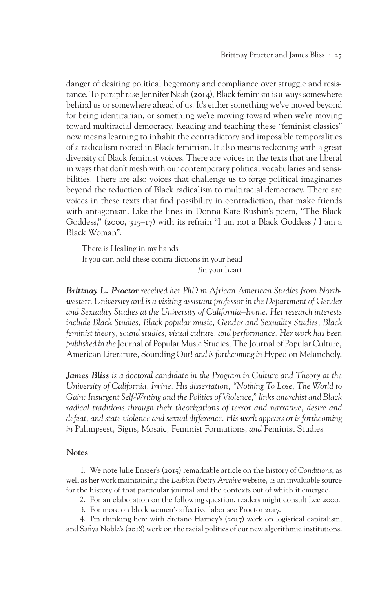danger of desiring political hegemony and compliance over struggle and resistance. To paraphrase Jennifer Nash (2014), Black feminism is always somewhere behind us or somewhere ahead of us. It's either something we've moved beyond for being identitarian, or something we're moving toward when we're moving toward multiracial democracy. Reading and teaching these "feminist classics" now means learning to inhabit the contradictory and impossible temporalities of a radicalism rooted in Black feminism. It also means reckoning with a great diversity of Black feminist voices. There are voices in the texts that are liberal in ways that don't mesh with our contemporary political vocabularies and sensibilities. There are also voices that challenge us to forge political imaginaries beyond the reduction of Black radicalism to multiracial democracy. There are voices in these texts that find possibility in contradiction, that make friends with antagonism. Like the lines in Donna Kate Rushin's poem, "The Black Goddess," (2000, 315–17) with its refrain "I am not a Black Goddess / I am a Black Woman":

There is Healing in my hands If you can hold these contra dictions in your head /in your heart

*Brittnay L. Proctor received her PhD in African American Studies from Northwestern University and is a visiting assistant professor in the Department of Gender and Sexuality Studies at the University of California–Irvine. Her research interests include Black Studies, Black popular music, Gender and Sexuality Studies, Black feminist theory, sound studies, visual culture, and performance. Her work has been published in the* Journal of Popular Music Studies*,* The Journal of Popular Culture*,*  American Literature*,* Sounding Out! *and is forthcoming in* Hyped on Melancholy.

*James Bliss is a doctoral candidate in the Program in Culture and Theory at the University of California, Irvine. His dissertation, "Nothing To Lose, The World to Gain: Insurgent Self-Writing and the Politics of Violence," links anarchist and Black radical traditions through their theorizations of terror and narrative, desire and defeat, and state violence and sexual difference. His work appears or is forthcoming in* Palimpsest*,* Signs*,* Mosaic*,* Feminist Formations, *and* Feminist Studies.

#### **Notes**

1. We note Julie Enszer's (2015) remarkable article on the history of *Conditions*, as well as her work maintaining the *Lesbian Poetry Archive* website, as an invaluable source for the history of that particular journal and the contexts out of which it emerged.

2. For an elaboration on the following question, readers might consult Lee 2000.

3. For more on black women's affective labor see Proctor 2017.

4. I'm thinking here with Stefano Harney's (2017) work on logistical capitalism, and Safiya Noble's (2018) work on the racial politics of our new algorithmic institutions.